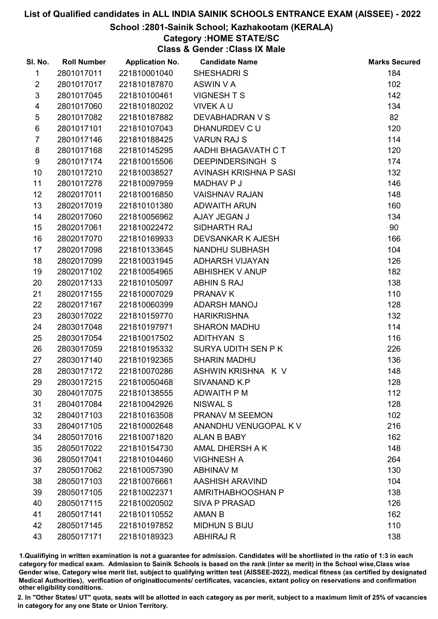#### School :2801-Sainik School; Kazhakootam (KERALA)

### Category :HOME STATE/SC

Class & Gender :Class IX Male

| SI. No.        | <b>Roll Number</b> | <b>Application No.</b> | <b>Candidate Name</b>    | <b>Marks Secured</b> |
|----------------|--------------------|------------------------|--------------------------|----------------------|
| 1              | 2801017011         | 221810001040           | <b>SHESHADRIS</b>        | 184                  |
| $\overline{2}$ | 2801017017         | 221810187870           | ASWIN V A                | 102                  |
| $\mathfrak{S}$ | 2801017045         | 221810100461           | <b>VIGNESHTS</b>         | 142                  |
| 4              | 2801017060         | 221810180202           | <b>VIVEK A U</b>         | 134                  |
| $\sqrt{5}$     | 2801017082         | 221810187882           | DEVABHADRAN V S          | 82                   |
| 6              | 2801017101         | 221810107043           | DHANURDEV C U            | 120                  |
| $\overline{7}$ | 2801017146         | 221810188425           | <b>VARUN RAJ S</b>       | 114                  |
| 8              | 2801017168         | 221810145295           | AADHI BHAGAVATH C T      | 120                  |
| 9              | 2801017174         | 221810015506           | DEEPINDERSINGH S         | 174                  |
| 10             | 2801017210         | 221810038527           | AVINASH KRISHNA P SASI   | 132                  |
| 11             | 2801017278         | 221810097959           | MADHAV P J               | 146                  |
| 12             | 2802017011         | 221810016850           | <b>VAISHNAV RAJAN</b>    | 148                  |
| 13             | 2802017019         | 221810101380           | <b>ADWAITH ARUN</b>      | 160                  |
| 14             | 2802017060         | 221810056962           | AJAY JEGAN J             | 134                  |
| 15             | 2802017061         | 221810022472           | SIDHARTH RAJ             | 90                   |
| 16             | 2802017070         | 221810169933           | <b>DEVSANKAR K AJESH</b> | 166                  |
| 17             | 2802017098         | 221810133645           | NANDHU SUBHASH           | 104                  |
| 18             | 2802017099         | 221810031945           | <b>ADHARSH VIJAYAN</b>   | 126                  |
| 19             | 2802017102         | 221810054965           | <b>ABHISHEK V ANUP</b>   | 182                  |
| 20             | 2802017133         | 221810105097           | <b>ABHIN S RAJ</b>       | 138                  |
| 21             | 2802017155         | 221810007029           | <b>PRANAV K</b>          | 110                  |
| 22             | 2802017167         | 221810060399           | ADARSH MANOJ             | 128                  |
| 23             | 2803017022         | 221810159770           | <b>HARIKRISHNA</b>       | 132                  |
| 24             | 2803017048         | 221810197971           | <b>SHARON MADHU</b>      | 114                  |
| 25             | 2803017054         | 221810017502           | <b>ADITHYAN S</b>        | 116                  |
| 26             | 2803017059         | 221810195332           | SURYA UDITH SEN P K      | 226                  |
| 27             | 2803017140         | 221810192365           | <b>SHARIN MADHU</b>      | 136                  |
| 28             | 2803017172         | 221810070286           | ASHWIN KRISHNA K V       | 148                  |
| 29             | 2803017215         | 221810050468           | <b>SIVANAND K.P</b>      | 128                  |
| 30             | 2804017075         | 221810138555           | <b>ADWAITH P M</b>       | 112                  |
| 31             | 2804017084         | 221810042926           | <b>NISWAL S</b>          | 128                  |
| 32             | 2804017103         | 221810163508           | PRANAV M SEEMON          | 102                  |
| 33             | 2804017105         | 221810002648           | ANANDHU VENUGOPAL K V    | 216                  |
| 34             | 2805017016         | 221810071820           | <b>ALAN B BABY</b>       | 162                  |
| 35             | 2805017022         | 221810154730           | AMAL DHERSH A K          | 148                  |
| 36             | 2805017041         | 221810104460           | <b>VIGHNESH A</b>        | 264                  |
| 37             | 2805017062         | 221810057390           | <b>ABHINAV M</b>         | 130                  |
| 38             | 2805017103         | 221810076661           | <b>AASHISH ARAVIND</b>   | 104                  |
| 39             | 2805017105         | 221810022371           | AMRITHABHOOSHAN P        | 138                  |
| 40             | 2805017115         | 221810020502           | <b>SIVA P PRASAD</b>     | 126                  |
| 41             | 2805017141         | 221810110552           | AMAN B                   | 162                  |
| 42             | 2805017145         | 221810197852           | <b>MIDHUN S BIJU</b>     | 110                  |
| 43             | 2805017171         | 221810189323           | <b>ABHIRAJ R</b>         | 138                  |

1.Qualifiying in written examination is not a guarantee for admission. Candidates will be shortlisted in the ratio of 1:3 in each category for medical exam. Admission to Sainik Schools is based on the rank (inter se merit) in the School wise,Class wise Gender wise, Category wise merit list, subject to qualifying written test (AISSEE-2022), medical fitness (as certified by designated Medical Authorities), verification of originablocuments/ certificates, vacancies, extant policy on reservations and confirmation other eligibility conditions.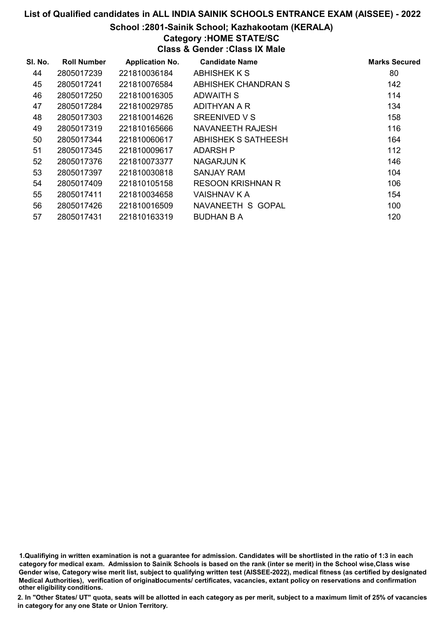#### School :2801-Sainik School; Kazhakootam (KERALA)

### Category :HOME STATE/SC

Class & Gender :Class IX Male

| SI. No. | <b>Roll Number</b> | <b>Application No.</b> | <b>Candidate Name</b>      | <b>Marks Secured</b> |
|---------|--------------------|------------------------|----------------------------|----------------------|
| 44      | 2805017239         | 221810036184           | ABHISHEK K S               | 80                   |
| 45      | 2805017241         | 221810076584           | <b>ABHISHEK CHANDRAN S</b> | 142                  |
| 46      | 2805017250         | 221810016305           | ADWAITH S                  | 114                  |
| 47      | 2805017284         | 221810029785           | ADITHYAN A R               | 134                  |
| 48      | 2805017303         | 221810014626           | SREENIVED V S              | 158                  |
| 49      | 2805017319         | 221810165666           | NAVANEETH RAJESH           | 116                  |
| 50      | 2805017344         | 221810060617           | <b>ABHISHEK S SATHEESH</b> | 164                  |
| 51      | 2805017345         | 221810009617           | ADARSH P                   | 112                  |
| 52      | 2805017376         | 221810073377           | <b>NAGARJUN K</b>          | 146                  |
| 53      | 2805017397         | 221810030818           | <b>SANJAY RAM</b>          | 104                  |
| 54      | 2805017409         | 221810105158           | <b>RESOON KRISHNAN R</b>   | 106                  |
| 55      | 2805017411         | 221810034658           | VAISHNAV K A               | 154                  |
| 56      | 2805017426         | 221810016509           | NAVANEETH S GOPAL          | 100                  |
| 57      | 2805017431         | 221810163319           | <b>BUDHAN B A</b>          | 120                  |

1.Qualifiying in written examination is not a guarantee for admission. Candidates will be shortlisted in the ratio of 1:3 in each category for medical exam. Admission to Sainik Schools is based on the rank (inter se merit) in the School wise,Class wise Gender wise, Category wise merit list, subject to qualifying written test (AISSEE-2022), medical fitness (as certified by designated Medical Authorities), verification of originablocuments/ certificates, vacancies, extant policy on reservations and confirmation other eligibility conditions.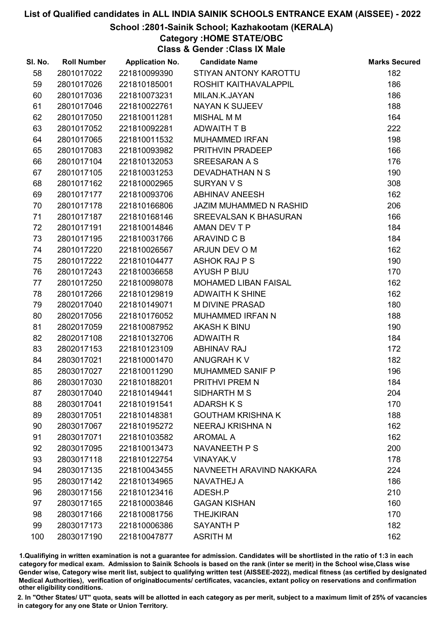#### School :2801-Sainik School; Kazhakootam (KERALA)

# Category :HOME STATE/OBC

Class & Gender :Class IX Male

| SI. No. | <b>Roll Number</b> | <b>Application No.</b> | <b>Candidate Name</b>          | <b>Marks Secured</b> |
|---------|--------------------|------------------------|--------------------------------|----------------------|
| 58      | 2801017022         | 221810099390           | STIYAN ANTONY KAROTTU          | 182                  |
| 59      | 2801017026         | 221810185001           | ROSHIT KAITHAVALAPPIL          | 186                  |
| 60      | 2801017036         | 221810073231           | MILAN.K.JAYAN                  | 186                  |
| 61      | 2801017046         | 221810022761           | <b>NAYAN K SUJEEV</b>          | 188                  |
| 62      | 2801017050         | 221810011281           | <b>MISHAL M M</b>              | 164                  |
| 63      | 2801017052         | 221810092281           | ADWAITH T B                    | 222                  |
| 64      | 2801017065         | 221810011532           | <b>MUHAMMED IRFAN</b>          | 198                  |
| 65      | 2801017083         | 221810093982           | PRITHVIN PRADEEP               | 166                  |
| 66      | 2801017104         | 221810132053           | SREESARAN A S                  | 176                  |
| 67      | 2801017105         | 221810031253           | DEVADHATHAN N S                | 190                  |
| 68      | 2801017162         | 221810002965           | <b>SURYAN V S</b>              | 308                  |
| 69      | 2801017177         | 221810093706           | <b>ABHINAV ANEESH</b>          | 162                  |
| 70      | 2801017178         | 221810166806           | <b>JAZIM MUHAMMED N RASHID</b> | 206                  |
| 71      | 2801017187         | 221810168146           | <b>SREEVALSAN K BHASURAN</b>   | 166                  |
| 72      | 2801017191         | 221810014846           | AMAN DEV T P                   | 184                  |
| 73      | 2801017195         | 221810031766           | ARAVIND C B                    | 184                  |
| 74      | 2801017220         | 221810026567           | ARJUN DEV O M                  | 162                  |
| 75      | 2801017222         | 221810104477           | <b>ASHOK RAJ P S</b>           | 190                  |
| 76      | 2801017243         | 221810036658           | <b>AYUSH P BIJU</b>            | 170                  |
| 77      | 2801017250         | 221810098078           | <b>MOHAMED LIBAN FAISAL</b>    | 162                  |
| 78      | 2801017266         | 221810129819           | <b>ADWAITH K SHINE</b>         | 162                  |
| 79      | 2802017040         | 221810149071           | <b>M DIVINE PRASAD</b>         | 180                  |
| 80      | 2802017056         | 221810176052           | MUHAMMED IRFAN N               | 188                  |
| 81      | 2802017059         | 221810087952           | <b>AKASH K BINU</b>            | 190                  |
| 82      | 2802017108         | 221810132706           | <b>ADWAITH R</b>               | 184                  |
| 83      | 2802017153         | 221810123109           | <b>ABHINAV RAJ</b>             | 172                  |
| 84      | 2803017021         | 221810001470           | ANUGRAH K V                    | 182                  |
| 85      | 2803017027         | 221810011290           | MUHAMMED SANIF P               | 196                  |
| 86      | 2803017030         | 221810188201           | PRITHVI PREM N                 | 184                  |
| 87      | 2803017040         | 221810149441           | SIDHARTH M S                   | 204                  |
| 88      | 2803017041         | 221810191541           | <b>ADARSH K S</b>              | 170                  |
| 89      | 2803017051         | 221810148381           | <b>GOUTHAM KRISHNA K</b>       | 188                  |
| 90      | 2803017067         | 221810195272           | <b>NEERAJ KRISHNA N</b>        | 162                  |
| 91      | 2803017071         | 221810103582           | <b>AROMAL A</b>                | 162                  |
| 92      | 2803017095         | 221810013473           | NAVANEETH P S                  | 200                  |
| 93      | 2803017118         | 221810122754           | <b>VINAYAK.V</b>               | 178                  |
| 94      | 2803017135         | 221810043455           | NAVNEETH ARAVIND NAKKARA       | 224                  |
| 95      | 2803017142         | 221810134965           | <b>NAVATHEJ A</b>              | 186                  |
| 96      | 2803017156         | 221810123416           | ADESH.P                        | 210                  |
| 97      | 2803017165         | 221810003846           | <b>GAGAN KISHAN</b>            | 160                  |
| 98      | 2803017166         | 221810081756           | <b>THEJKIRAN</b>               | 170                  |
| 99      | 2803017173         | 221810006386           | <b>SAYANTH P</b>               | 182                  |
| 100     | 2803017190         | 221810047877           | <b>ASRITH M</b>                | 162                  |

1.Qualifiying in written examination is not a guarantee for admission. Candidates will be shortlisted in the ratio of 1:3 in each category for medical exam. Admission to Sainik Schools is based on the rank (inter se merit) in the School wise,Class wise Gender wise, Category wise merit list, subject to qualifying written test (AISSEE-2022), medical fitness (as certified by designated Medical Authorities), verification of originablocuments/ certificates, vacancies, extant policy on reservations and confirmation other eligibility conditions.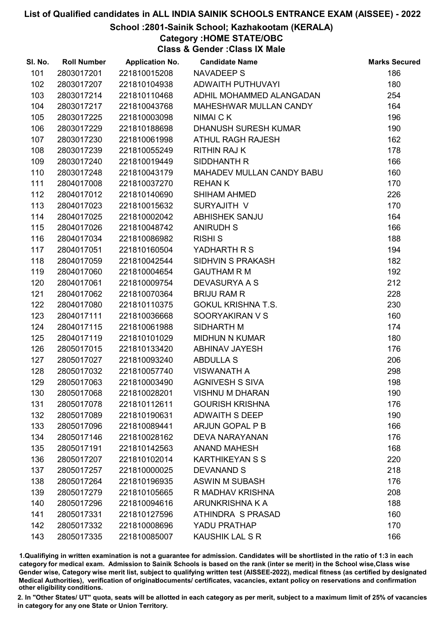#### School :2801-Sainik School; Kazhakootam (KERALA)

## Category :HOME STATE/OBC

Class & Gender :Class IX Male

| SI. No. | <b>Roll Number</b> | <b>Application No.</b> | <b>Candidate Name</b>       | <b>Marks Secured</b> |
|---------|--------------------|------------------------|-----------------------------|----------------------|
| 101     | 2803017201         | 221810015208           | <b>NAVADEEP S</b>           | 186                  |
| 102     | 2803017207         | 221810104938           | ADWAITH PUTHUVAYI           | 180                  |
| 103     | 2803017214         | 221810110468           | ADHIL MOHAMMED ALANGADAN    | 254                  |
| 104     | 2803017217         | 221810043768           | MAHESHWAR MULLAN CANDY      | 164                  |
| 105     | 2803017225         | 221810003098           | NIMAI C K                   | 196                  |
| 106     | 2803017229         | 221810188698           | <b>DHANUSH SURESH KUMAR</b> | 190                  |
| 107     | 2803017230         | 221810061998           | ATHUL RAGH RAJESH           | 162                  |
| 108     | 2803017239         | 221810055249           | <b>RITHIN RAJ K</b>         | 178                  |
| 109     | 2803017240         | 221810019449           | SIDDHANTH R                 | 166                  |
| 110     | 2803017248         | 221810043179           | MAHADEV MULLAN CANDY BABU   | 160                  |
| 111     | 2804017008         | 221810037270           | <b>REHANK</b>               | 170                  |
| 112     | 2804017012         | 221810140690           | <b>SHIHAM AHMED</b>         | 226                  |
| 113     | 2804017023         | 221810015632           | SURYAJITH V                 | 170                  |
| 114     | 2804017025         | 221810002042           | ABHISHEK SANJU              | 164                  |
| 115     | 2804017026         | 221810048742           | <b>ANIRUDH S</b>            | 166                  |
| 116     | 2804017034         | 221810086982           | <b>RISHI S</b>              | 188                  |
| 117     | 2804017051         | 221810160504           | YADHARTH R S                | 194                  |
| 118     | 2804017059         | 221810042544           | SIDHVIN S PRAKASH           | 182                  |
| 119     | 2804017060         | 221810004654           | <b>GAUTHAM R M</b>          | 192                  |
| 120     | 2804017061         | 221810009754           | <b>DEVASURYA A S</b>        | 212                  |
| 121     | 2804017062         | 221810070364           | <b>BRIJU RAM R</b>          | 228                  |
| 122     | 2804017080         | 221810110375           | <b>GOKUL KRISHNA T.S.</b>   | 230                  |
| 123     | 2804017111         | 221810036668           | SOORYAKIRAN V S             | 160                  |
| 124     | 2804017115         | 221810061988           | SIDHARTH M                  | 174                  |
| 125     | 2804017119         | 221810101029           | <b>MIDHUN N KUMAR</b>       | 180                  |
| 126     | 2805017015         | 221810133420           | <b>ABHINAV JAYESH</b>       | 176                  |
| 127     | 2805017027         | 221810093240           | <b>ABDULLA S</b>            | 206                  |
| 128     | 2805017032         | 221810057740           | <b>VISWANATH A</b>          | 298                  |
| 129     | 2805017063         | 221810003490           | <b>AGNIVESH S SIVA</b>      | 198                  |
| 130     | 2805017068         | 221810028201           | <b>VISHNU M DHARAN</b>      | 190                  |
| 131     | 2805017078         | 221810112611           | <b>GOURISH KRISHNA</b>      | 176                  |
| 132     | 2805017089         | 221810190631           | <b>ADWAITH S DEEP</b>       | 190                  |
| 133     | 2805017096         | 221810089441           | <b>ARJUN GOPAL P B</b>      | 166                  |
| 134     | 2805017146         | 221810028162           | <b>DEVA NARAYANAN</b>       | 176                  |
| 135     | 2805017191         | 221810142563           | <b>ANAND MAHESH</b>         | 168                  |
| 136     | 2805017207         | 221810102014           | <b>KARTHIKEYAN S S</b>      | 220                  |
| 137     | 2805017257         | 221810000025           | <b>DEVANAND S</b>           | 218                  |
| 138     | 2805017264         | 221810196935           | <b>ASWIN M SUBASH</b>       | 176                  |
| 139     | 2805017279         | 221810105665           | R MADHAV KRISHNA            | 208                  |
| 140     | 2805017296         | 221810094616           | ARUNKRISHNA K A             | 188                  |
| 141     | 2805017331         | 221810127596           | ATHINDRA S PRASAD           | 160                  |
| 142     | 2805017332         | 221810008696           | YADU PRATHAP                | 170                  |
| 143     | 2805017335         | 221810085007           | <b>KAUSHIK LAL S R</b>      | 166                  |

1.Qualifiying in written examination is not a guarantee for admission. Candidates will be shortlisted in the ratio of 1:3 in each category for medical exam. Admission to Sainik Schools is based on the rank (inter se merit) in the School wise,Class wise Gender wise, Category wise merit list, subject to qualifying written test (AISSEE-2022), medical fitness (as certified by designated Medical Authorities), verification of originablocuments/ certificates, vacancies, extant policy on reservations and confirmation other eligibility conditions.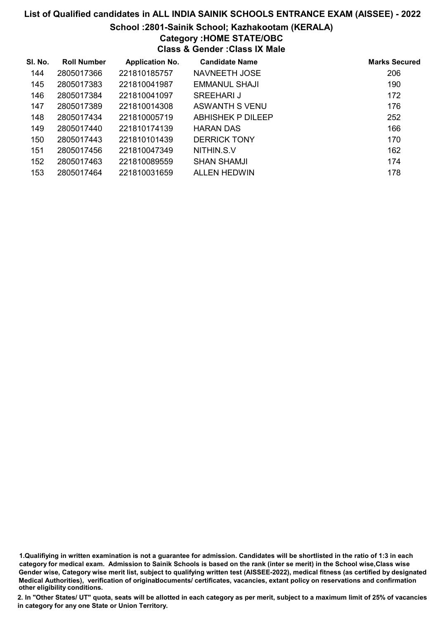# List of Qualified candidates in ALL INDIA SAINIK SCHOOLS ENTRANCE EXAM (AISSEE) - 2022 School :2801-Sainik School; Kazhakootam (KERALA)

# Category :HOME STATE/OBC

Class & Gender :Class IX Male

| SI. No. | <b>Roll Number</b> | <b>Application No.</b> | <b>Candidate Name</b> | <b>Marks Secured</b> |
|---------|--------------------|------------------------|-----------------------|----------------------|
| 144     | 2805017366         | 221810185757           | NAVNEETH JOSE         | 206                  |
| 145     | 2805017383         | 221810041987           | EMMANUL SHAJI         | 190                  |
| 146     | 2805017384         | 221810041097           | SREEHARLJ             | 172                  |
| 147     | 2805017389         | 221810014308           | ASWANTH S VENU        | 176                  |
| 148     | 2805017434         | 221810005719           | ABHISHEK P DILEEP     | 252                  |
| 149     | 2805017440         | 221810174139           | <b>HARAN DAS</b>      | 166                  |
| 150     | 2805017443         | 221810101439           | <b>DERRICK TONY</b>   | 170                  |
| 151     | 2805017456         | 221810047349           | NITHIN.S.V            | 162                  |
| 152     | 2805017463         | 221810089559           | <b>SHAN SHAMJI</b>    | 174                  |
| 153     | 2805017464         | 221810031659           | ALLEN HEDWIN          | 178                  |

<sup>1.</sup>Qualifiying in written examination is not a guarantee for admission. Candidates will be shortlisted in the ratio of 1:3 in each category for medical exam. Admission to Sainik Schools is based on the rank (inter se merit) in the School wise,Class wise Gender wise, Category wise merit list, subject to qualifying written test (AISSEE-2022), medical fitness (as certified by designated Medical Authorities), verification of originablocuments/ certificates, vacancies, extant policy on reservations and confirmation other eligibility conditions.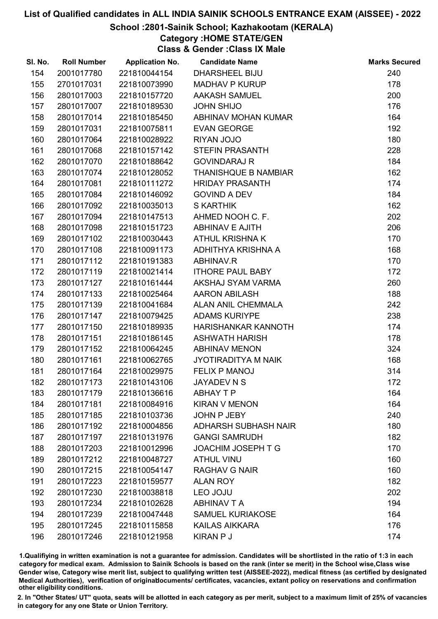#### School :2801-Sainik School; Kazhakootam (KERALA)

# Category :HOME STATE/GEN

Class & Gender :Class IX Male

| SI. No. | <b>Roll Number</b> | <b>Application No.</b> | <b>Candidate Name</b>       | <b>Marks Secured</b> |
|---------|--------------------|------------------------|-----------------------------|----------------------|
| 154     | 2001017780         | 221810044154           | <b>DHARSHEEL BIJU</b>       | 240                  |
| 155     | 2701017031         | 221810073990           | <b>MADHAV P KURUP</b>       | 178                  |
| 156     | 2801017003         | 221810157720           | <b>AAKASH SAMUEL</b>        | 200                  |
| 157     | 2801017007         | 221810189530           | <b>JOHN SHIJO</b>           | 176                  |
| 158     | 2801017014         | 221810185450           | ABHINAV MOHAN KUMAR         | 164                  |
| 159     | 2801017031         | 221810075811           | <b>EVAN GEORGE</b>          | 192                  |
| 160     | 2801017064         | 221810028922           | RIYAN JOJO                  | 180                  |
| 161     | 2801017068         | 221810157142           | <b>STEFIN PRASANTH</b>      | 228                  |
| 162     | 2801017070         | 221810188642           | <b>GOVINDARAJ R</b>         | 184                  |
| 163     | 2801017074         | 221810128052           | THANISHQUE B NAMBIAR        | 162                  |
| 164     | 2801017081         | 221810111272           | <b>HRIDAY PRASANTH</b>      | 174                  |
| 165     | 2801017084         | 221810146092           | <b>GOVIND A DEV</b>         | 184                  |
| 166     | 2801017092         | 221810035013           | <b>S KARTHIK</b>            | 162                  |
| 167     | 2801017094         | 221810147513           | AHMED NOOH C. F.            | 202                  |
| 168     | 2801017098         | 221810151723           | <b>ABHINAV E AJITH</b>      | 206                  |
| 169     | 2801017102         | 221810030443           | <b>ATHUL KRISHNA K</b>      | 170                  |
| 170     | 2801017108         | 221810091173           | ADHITHYA KRISHNA A          | 168                  |
| 171     | 2801017112         | 221810191383           | ABHINAV.R                   | 170                  |
| 172     | 2801017119         | 221810021414           | <b>ITHORE PAUL BABY</b>     | 172                  |
| 173     | 2801017127         | 221810161444           | AKSHAJ SYAM VARMA           | 260                  |
| 174     | 2801017133         | 221810025464           | <b>AARON ABILASH</b>        | 188                  |
| 175     | 2801017139         | 221810041684           | <b>ALAN ANIL CHEMMALA</b>   | 242                  |
| 176     | 2801017147         | 221810079425           | <b>ADAMS KURIYPE</b>        | 238                  |
| 177     | 2801017150         | 221810189935           | HARISHANKAR KANNOTH         | 174                  |
| 178     | 2801017151         | 221810186145           | <b>ASHWATH HARISH</b>       | 178                  |
| 179     | 2801017152         | 221810064245           | <b>ABHINAV MENON</b>        | 324                  |
| 180     | 2801017161         | 221810062765           | <b>JYOTIRADITYA M NAIK</b>  | 168                  |
| 181     | 2801017164         | 221810029975           | <b>FELIX P MANOJ</b>        | 314                  |
| 182     | 2801017173         | 221810143106           | <b>JAYADEV N S</b>          | 172                  |
| 183     | 2801017179         | 221810136616           | <b>ABHAY T P</b>            | 164                  |
| 184     | 2801017181         | 221810084916           | <b>KIRAN V MENON</b>        | 164                  |
| 185     | 2801017185         | 221810103736           | <b>JOHN P JEBY</b>          | 240                  |
| 186     | 2801017192         | 221810004856           | <b>ADHARSH SUBHASH NAIR</b> | 180                  |
| 187     | 2801017197         | 221810131976           | <b>GANGI SAMRUDH</b>        | 182                  |
| 188     | 2801017203         | 221810012996           | <b>JOACHIM JOSEPH T G</b>   | 170                  |
| 189     | 2801017212         | 221810048727           | <b>ATHUL VINU</b>           | 160                  |
| 190     | 2801017215         | 221810054147           | <b>RAGHAV G NAIR</b>        | 160                  |
| 191     | 2801017223         | 221810159577           | <b>ALAN ROY</b>             | 182                  |
| 192     | 2801017230         | 221810038818           | <b>LEO JOJU</b>             | 202                  |
| 193     | 2801017234         | 221810102628           | <b>ABHINAV T A</b>          | 194                  |
| 194     | 2801017239         | 221810047448           | <b>SAMUEL KURIAKOSE</b>     | 164                  |
| 195     | 2801017245         | 221810115858           | <b>KAILAS AIKKARA</b>       | 176                  |
| 196     | 2801017246         | 221810121958           | KIRAN P J                   | 174                  |

1.Qualifiying in written examination is not a guarantee for admission. Candidates will be shortlisted in the ratio of 1:3 in each category for medical exam. Admission to Sainik Schools is based on the rank (inter se merit) in the School wise,Class wise Gender wise, Category wise merit list, subject to qualifying written test (AISSEE-2022), medical fitness (as certified by designated Medical Authorities), verification of originablocuments/ certificates, vacancies, extant policy on reservations and confirmation other eligibility conditions.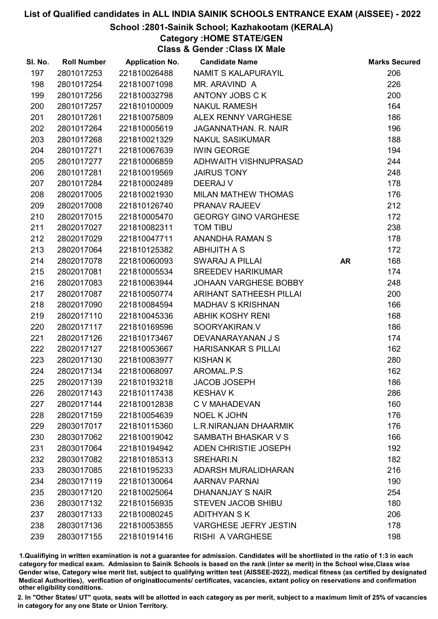#### School :2801-Sainik School; Kazhakootam (KERALA)

# Category :HOME STATE/GEN

Class & Gender :Class IX Male

| SI. No. | <b>Roll Number</b> | <b>Application No.</b> | <b>Candidate Name</b>        |           | <b>Marks Secured</b> |
|---------|--------------------|------------------------|------------------------------|-----------|----------------------|
| 197     | 2801017253         | 221810026488           | NAMIT S KALAPURAYIL          |           | 206                  |
| 198     | 2801017254         | 221810071098           | MR. ARAVIND A                |           | 226                  |
| 199     | 2801017256         | 221810032798           | ANTONY JOBS CK               |           | 200                  |
| 200     | 2801017257         | 221810100009           | <b>NAKUL RAMESH</b>          |           | 164                  |
| 201     | 2801017261         | 221810075809           | ALEX RENNY VARGHESE          |           | 186                  |
| 202     | 2801017264         | 221810005619           | JAGANNATHAN. R. NAIR         |           | 196                  |
| 203     | 2801017268         | 221810021329           | <b>NAKUL SASIKUMAR</b>       |           | 188                  |
| 204     | 2801017271         | 221810067639           | <b>IWIN GEORGE</b>           |           | 194                  |
| 205     | 2801017277         | 221810006859           | ADHWAITH VISHNUPRASAD        |           | 244                  |
| 206     | 2801017281         | 221810019569           | <b>JAIRUS TONY</b>           |           | 248                  |
| 207     | 2801017284         | 221810002489           | DEERAJ V                     |           | 178                  |
| 208     | 2802017005         | 221810021930           | <b>MILAN MATHEW THOMAS</b>   |           | 176                  |
| 209     | 2802017008         | 221810126740           | PRANAV RAJEEV                |           | 212                  |
| 210     | 2802017015         | 221810005470           | <b>GEORGY GINO VARGHESE</b>  |           | 172                  |
| 211     | 2802017027         | 221810082311           | <b>TOM TIBU</b>              |           | 238                  |
| 212     | 2802017029         | 221810047711           | ANANDHA RAMAN S              |           | 178                  |
| 213     | 2802017064         | 221810125382           | <b>ABHIJITH A S</b>          |           | 172                  |
| 214     | 2802017078         | 221810060093           | <b>SWARAJ A PILLAI</b>       | <b>AR</b> | 168                  |
| 215     | 2802017081         | 221810005534           | <b>SREEDEV HARIKUMAR</b>     |           | 174                  |
| 216     | 2802017083         | 221810063944           | JOHAAN VARGHESE BOBBY        |           | 248                  |
| 217     | 2802017087         | 221810050774           | ARIHANT SATHEESH PILLAI      |           | 200                  |
| 218     | 2802017090         | 221810084594           | <b>MADHAV S KRISHNAN</b>     |           | 166                  |
| 219     | 2802017110         | 221810045336           | <b>ABHIK KOSHY RENI</b>      |           | 168                  |
| 220     | 2802017117         | 221810169596           | SOORYAKIRAN.V                |           | 186                  |
| 221     | 2802017126         | 221810173467           | DEVANARAYANAN J S            |           | 174                  |
| 222     | 2802017127         | 221810053667           | <b>HARISANKAR S PILLAI</b>   |           | 162                  |
| 223     | 2802017130         | 221810083977           | <b>KISHAN K</b>              |           | 280                  |
| 224     | 2802017134         | 221810068097           | AROMAL.P.S                   |           | 162                  |
| 225     | 2802017139         | 221810193218           | <b>JACOB JOSEPH</b>          |           | 186                  |
| 226     | 2802017143         | 221810117438           | <b>KESHAV K</b>              |           | 286                  |
| 227     | 2802017144         | 221810012838           | C V MAHADEVAN                |           | 160                  |
| 228     | 2802017159         | 221810054639           | <b>NOEL K JOHN</b>           |           | 176                  |
| 229     | 2803017017         | 221810115360           | L.R.NIRANJAN DHAARMIK        |           | 176                  |
| 230     | 2803017062         | 221810019042           | SAMBATH BHASKAR V S          |           | 166                  |
| 231     | 2803017064         | 221810194942           | ADEN CHRISTIE JOSEPH         |           | 192                  |
| 232     | 2803017082         | 221810185313           | SREHARI.N                    |           | 182                  |
| 233     | 2803017085         | 221810195233           | ADARSH MURALIDHARAN          |           | 216                  |
| 234     | 2803017119         | 221810130064           | <b>AARNAV PARNAI</b>         |           | 190                  |
| 235     | 2803017120         | 221810025064           | DHANANJAY S NAIR             |           | 254                  |
| 236     | 2803017132         | 221810156935           | <b>STEVEN JACOB SHIBU</b>    |           | 180                  |
| 237     | 2803017133         | 221810080245           | <b>ADITHYAN S K</b>          |           | 206                  |
| 238     | 2803017136         | 221810053855           | <b>VARGHESE JEFRY JESTIN</b> |           | 178                  |
| 239     | 2803017155         | 221810191416           | <b>RISHI A VARGHESE</b>      |           | 198                  |

1.Qualifiying in written examination is not a guarantee for admission. Candidates will be shortlisted in the ratio of 1:3 in each category for medical exam. Admission to Sainik Schools is based on the rank (inter se merit) in the School wise,Class wise Gender wise, Category wise merit list, subject to qualifying written test (AISSEE-2022), medical fitness (as certified by designated Medical Authorities), verification of originablocuments/ certificates, vacancies, extant policy on reservations and confirmation other eligibility conditions.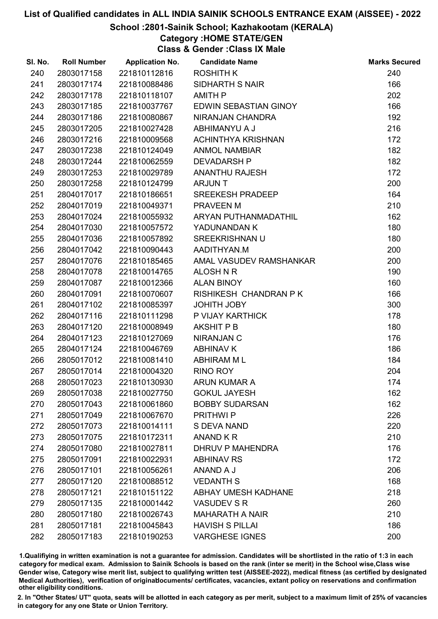#### School :2801-Sainik School; Kazhakootam (KERALA)

# Category :HOME STATE/GEN

Class & Gender :Class IX Male

| SI. No. | <b>Roll Number</b> | <b>Application No.</b> | <b>Candidate Name</b>   | <b>Marks Secured</b> |
|---------|--------------------|------------------------|-------------------------|----------------------|
| 240     | 2803017158         | 221810112816           | <b>ROSHITH K</b>        | 240                  |
| 241     | 2803017174         | 221810088486           | <b>SIDHARTH S NAIR</b>  | 166                  |
| 242     | 2803017178         | 221810118107           | AMITH P                 | 202                  |
| 243     | 2803017185         | 221810037767           | EDWIN SEBASTIAN GINOY   | 166                  |
| 244     | 2803017186         | 221810080867           | NIRANJAN CHANDRA        | 192                  |
| 245     | 2803017205         | 221810027428           | ABHIMANYU A J           | 216                  |
| 246     | 2803017216         | 221810009568           | ACHINTHYA KRISHNAN      | 172                  |
| 247     | 2803017238         | 221810124049           | <b>ANMOL NAMBIAR</b>    | 182                  |
| 248     | 2803017244         | 221810062559           | <b>DEVADARSH P</b>      | 182                  |
| 249     | 2803017253         | 221810029789           | <b>ANANTHU RAJESH</b>   | 172                  |
| 250     | 2803017258         | 221810124799           | <b>ARJUNT</b>           | 200                  |
| 251     | 2804017017         | 221810186651           | <b>SREEKESH PRADEEP</b> | 164                  |
| 252     | 2804017019         | 221810049371           | PRAVEEN M               | 210                  |
| 253     | 2804017024         | 221810055932           | ARYAN PUTHANMADATHIL    | 162                  |
| 254     | 2804017030         | 221810057572           | YADUNANDAN K            | 180                  |
| 255     | 2804017036         | 221810057892           | <b>SREEKRISHNAN U</b>   | 180                  |
| 256     | 2804017042         | 221810090443           | AADITHYAN.M             | 200                  |
| 257     | 2804017076         | 221810185465           | AMAL VASUDEV RAMSHANKAR | 200                  |
| 258     | 2804017078         | 221810014765           | ALOSH N R               | 190                  |
| 259     | 2804017087         | 221810012366           | <b>ALAN BINOY</b>       | 160                  |
| 260     | 2804017091         | 221810070607           | RISHIKESH CHANDRAN P K  | 166                  |
| 261     | 2804017102         | 221810085397           | <b>JOHITH JOBY</b>      | 300                  |
| 262     | 2804017116         | 221810111298           | P VIJAY KARTHICK        | 178                  |
| 263     | 2804017120         | 221810008949           | <b>AKSHIT P B</b>       | 180                  |
| 264     | 2804017123         | 221810127069           | <b>NIRANJAN C</b>       | 176                  |
| 265     | 2804017124         | 221810046769           | <b>ABHINAV K</b>        | 186                  |
| 266     | 2805017012         | 221810081410           | <b>ABHIRAM ML</b>       | 184                  |
| 267     | 2805017014         | 221810004320           | <b>RINO ROY</b>         | 204                  |
| 268     | 2805017023         | 221810130930           | <b>ARUN KUMAR A</b>     | 174                  |
| 269     | 2805017038         | 221810027750           | <b>GOKUL JAYESH</b>     | 162                  |
| 270     | 2805017043         | 221810061860           | <b>BOBBY SUDARSAN</b>   | 162                  |
| 271     | 2805017049         | 221810067670           | <b>PRITHWIP</b>         | 226                  |
| 272     | 2805017073         | 221810014111           | <b>S DEVA NAND</b>      | 220                  |
| 273     | 2805017075         | 221810172311           | ANAND KR                | 210                  |
| 274     | 2805017080         | 221810027811           | DHRUV P MAHENDRA        | 176                  |
| 275     | 2805017091         | 221810022931           | <b>ABHINAV RS</b>       | 172                  |
| 276     | 2805017101         | 221810056261           | ANAND A J               | 206                  |
| 277     | 2805017120         | 221810088512           | <b>VEDANTH S</b>        | 168                  |
| 278     | 2805017121         | 221810151122           | ABHAY UMESH KADHANE     | 218                  |
| 279     | 2805017135         | 221810001442           | <b>VASUDEV S R</b>      | 260                  |
| 280     | 2805017180         | 221810026743           | <b>MAHARATH A NAIR</b>  | 210                  |
| 281     | 2805017181         | 221810045843           | <b>HAVISH S PILLAI</b>  | 186                  |
| 282     | 2805017183         | 221810190253           | <b>VARGHESE IGNES</b>   | 200                  |

1.Qualifiying in written examination is not a guarantee for admission. Candidates will be shortlisted in the ratio of 1:3 in each category for medical exam. Admission to Sainik Schools is based on the rank (inter se merit) in the School wise,Class wise Gender wise, Category wise merit list, subject to qualifying written test (AISSEE-2022), medical fitness (as certified by designated Medical Authorities), verification of originablocuments/ certificates, vacancies, extant policy on reservations and confirmation other eligibility conditions.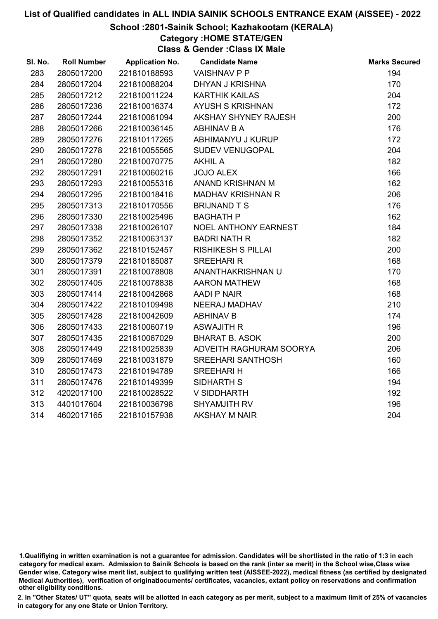#### School :2801-Sainik School; Kazhakootam (KERALA)

# Category :HOME STATE/GEN

Class & Gender :Class IX Male

| SI. No. | <b>Roll Number</b> | <b>Application No.</b> | <b>Candidate Name</b>       | <b>Marks Secured</b> |
|---------|--------------------|------------------------|-----------------------------|----------------------|
| 283     | 2805017200         | 221810188593           | <b>VAISHNAV P P</b>         | 194                  |
| 284     | 2805017204         | 221810088204           | <b>DHYAN J KRISHNA</b>      | 170                  |
| 285     | 2805017212         | 221810011224           | <b>KARTHIK KAILAS</b>       | 204                  |
| 286     | 2805017236         | 221810016374           | <b>AYUSH S KRISHNAN</b>     | 172                  |
| 287     | 2805017244         | 221810061094           | AKSHAY SHYNEY RAJESH        | 200                  |
| 288     | 2805017266         | 221810036145           | ABHINAV B A                 | 176                  |
| 289     | 2805017276         | 221810117265           | ABHIMANYU J KURUP           | 172                  |
| 290     | 2805017278         | 221810055565           | <b>SUDEV VENUGOPAL</b>      | 204                  |
| 291     | 2805017280         | 221810070775           | <b>AKHIL A</b>              | 182                  |
| 292     | 2805017291         | 221810060216           | <b>JOJO ALEX</b>            | 166                  |
| 293     | 2805017293         | 221810055316           | ANAND KRISHNAN M            | 162                  |
| 294     | 2805017295         | 221810018416           | <b>MADHAV KRISHNAN R</b>    | 206                  |
| 295     | 2805017313         | 221810170556           | <b>BRIJNAND T S</b>         | 176                  |
| 296     | 2805017330         | 221810025496           | <b>BAGHATH P</b>            | 162                  |
| 297     | 2805017338         | 221810026107           | <b>NOEL ANTHONY EARNEST</b> | 184                  |
| 298     | 2805017352         | 221810063137           | <b>BADRI NATH R</b>         | 182                  |
| 299     | 2805017362         | 221810152457           | <b>RISHIKESH S PILLAI</b>   | 200                  |
| 300     | 2805017379         | 221810185087           | <b>SREEHARI R</b>           | 168                  |
| 301     | 2805017391         | 221810078808           | ANANTHAKRISHNAN U           | 170                  |
| 302     | 2805017405         | 221810078838           | <b>AARON MATHEW</b>         | 168                  |
| 303     | 2805017414         | 221810042868           | AADI P NAIR                 | 168                  |
| 304     | 2805017422         | 221810109498           | NEERAJ MADHAV               | 210                  |
| 305     | 2805017428         | 221810042609           | <b>ABHINAV B</b>            | 174                  |
| 306     | 2805017433         | 221810060719           | <b>ASWAJITH R</b>           | 196                  |
| 307     | 2805017435         | 221810067029           | <b>BHARAT B. ASOK</b>       | 200                  |
| 308     | 2805017449         | 221810025839           | ADVEITH RAGHURAM SOORYA     | 206                  |
| 309     | 2805017469         | 221810031879           | <b>SREEHARI SANTHOSH</b>    | 160                  |
| 310     | 2805017473         | 221810194789           | <b>SREEHARI H</b>           | 166                  |
| 311     | 2805017476         | 221810149399           | SIDHARTH S                  | 194                  |
| 312     | 4202017100         | 221810028522           | V SIDDHARTH                 | 192                  |
| 313     | 4401017604         | 221810036798           | SHYAMJITH RV                | 196                  |
| 314     | 4602017165         | 221810157938           | <b>AKSHAY M NAIR</b>        | 204                  |

<sup>1.</sup>Qualifiying in written examination is not a guarantee for admission. Candidates will be shortlisted in the ratio of 1:3 in each category for medical exam. Admission to Sainik Schools is based on the rank (inter se merit) in the School wise,Class wise Gender wise, Category wise merit list, subject to qualifying written test (AISSEE-2022), medical fitness (as certified by designated Medical Authorities), verification of originablocuments/ certificates, vacancies, extant policy on reservations and confirmation other eligibility conditions.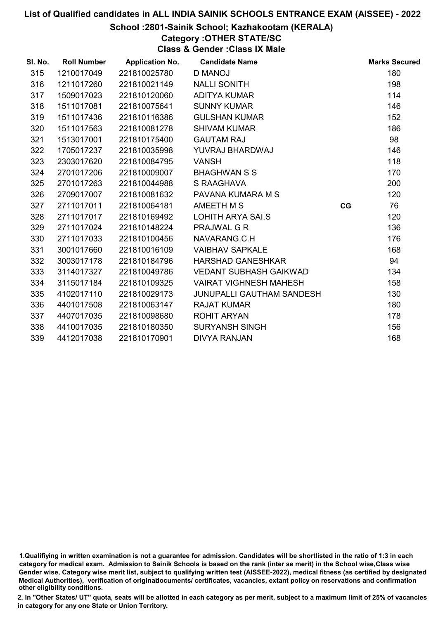#### School :2801-Sainik School; Kazhakootam (KERALA)

# Category :OTHER STATE/SC

Class & Gender :Class IX Male

| SI. No. | <b>Roll Number</b> | <b>Application No.</b> | <b>Candidate Name</b>            |    | <b>Marks Secured</b> |
|---------|--------------------|------------------------|----------------------------------|----|----------------------|
| 315     | 1210017049         | 221810025780           | <b>D MANOJ</b>                   |    | 180                  |
| 316     | 1211017260         | 221810021149           | <b>NALLI SONITH</b>              |    | 198                  |
| 317     | 1509017023         | 221810120060           | <b>ADITYA KUMAR</b>              |    | 114                  |
| 318     | 1511017081         | 221810075641           | <b>SUNNY KUMAR</b>               |    | 146                  |
| 319     | 1511017436         | 221810116386           | <b>GULSHAN KUMAR</b>             |    | 152                  |
| 320     | 1511017563         | 221810081278           | <b>SHIVAM KUMAR</b>              |    | 186                  |
| 321     | 1513017001         | 221810175400           | <b>GAUTAM RAJ</b>                |    | 98                   |
| 322     | 1705017237         | 221810035998           | YUVRAJ BHARDWAJ                  |    | 146                  |
| 323     | 2303017620         | 221810084795           | <b>VANSH</b>                     |    | 118                  |
| 324     | 2701017206         | 221810009007           | <b>BHAGHWAN S S</b>              |    | 170                  |
| 325     | 2701017263         | 221810044988           | S RAAGHAVA                       |    | 200                  |
| 326     | 2709017007         | 221810081632           | PAVANA KUMARA M S                |    | 120                  |
| 327     | 2711017011         | 221810064181           | AMEETH M S                       | CG | 76                   |
| 328     | 2711017017         | 221810169492           | LOHITH ARYA SAI.S                |    | 120                  |
| 329     | 2711017024         | 221810148224           | <b>PRAJWAL G R</b>               |    | 136                  |
| 330     | 2711017033         | 221810100456           | NAVARANG.C.H                     |    | 176                  |
| 331     | 3001017660         | 221810016109           | <b>VAIBHAV SAPKALE</b>           |    | 168                  |
| 332     | 3003017178         | 221810184796           | <b>HARSHAD GANESHKAR</b>         |    | 94                   |
| 333     | 3114017327         | 221810049786           | <b>VEDANT SUBHASH GAIKWAD</b>    |    | 134                  |
| 334     | 3115017184         | 221810109325           | <b>VAIRAT VIGHNESH MAHESH</b>    |    | 158                  |
| 335     | 4102017110         | 221810029173           | <b>JUNUPALLI GAUTHAM SANDESH</b> |    | 130                  |
| 336     | 4401017508         | 221810063147           | <b>RAJAT KUMAR</b>               |    | 180                  |
| 337     | 4407017035         | 221810098680           | <b>ROHIT ARYAN</b>               |    | 178                  |
| 338     | 4410017035         | 221810180350           | <b>SURYANSH SINGH</b>            |    | 156                  |
| 339     | 4412017038         | 221810170901           | <b>DIVYA RANJAN</b>              |    | 168                  |

<sup>1.</sup>Qualifiying in written examination is not a guarantee for admission. Candidates will be shortlisted in the ratio of 1:3 in each category for medical exam. Admission to Sainik Schools is based on the rank (inter se merit) in the School wise,Class wise Gender wise, Category wise merit list, subject to qualifying written test (AISSEE-2022), medical fitness (as certified by designated Medical Authorities), verification of originablocuments/ certificates, vacancies, extant policy on reservations and confirmation other eligibility conditions.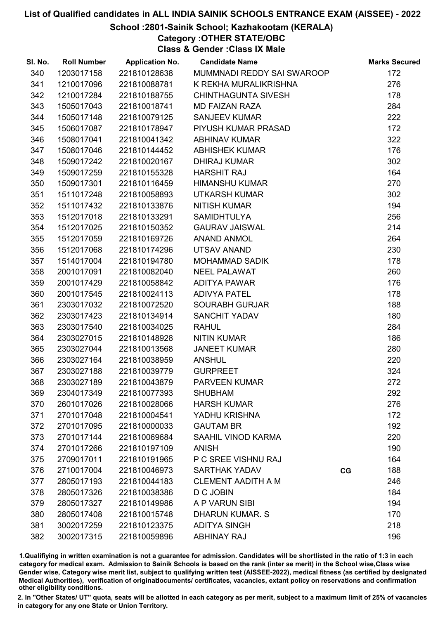#### School :2801-Sainik School; Kazhakootam (KERALA)

Category :OTHER STATE/OBC

Class & Gender :Class IX Male

| SI. No. | <b>Roll Number</b> | <b>Application No.</b> | <b>Candidate Name</b>      | <b>Marks Secured</b> |
|---------|--------------------|------------------------|----------------------------|----------------------|
| 340     | 1203017158         | 221810128638           | MUMMNADI REDDY SAI SWAROOP | 172                  |
| 341     | 1210017096         | 221810088781           | K REKHA MURALIKRISHNA      | 276                  |
| 342     | 1210017284         | 221810188755           | <b>CHINTHAGUNTA SIVESH</b> | 178                  |
| 343     | 1505017043         | 221810018741           | <b>MD FAIZAN RAZA</b>      | 284                  |
| 344     | 1505017148         | 221810079125           | <b>SANJEEV KUMAR</b>       | 222                  |
| 345     | 1506017087         | 221810178947           | PIYUSH KUMAR PRASAD        | 172                  |
| 346     | 1508017041         | 221810041342           | <b>ABHINAV KUMAR</b>       | 322                  |
| 347     | 1508017046         | 221810144452           | <b>ABHISHEK KUMAR</b>      | 176                  |
| 348     | 1509017242         | 221810020167           | <b>DHIRAJ KUMAR</b>        | 302                  |
| 349     | 1509017259         | 221810155328           | <b>HARSHIT RAJ</b>         | 164                  |
| 350     | 1509017301         | 221810116459           | <b>HIMANSHU KUMAR</b>      | 270                  |
| 351     | 1511017248         | 221810058893           | <b>UTKARSH KUMAR</b>       | 302                  |
| 352     | 1511017432         | 221810133876           | <b>NITISH KUMAR</b>        | 194                  |
| 353     | 1512017018         | 221810133291           | <b>SAMIDHTULYA</b>         | 256                  |
| 354     | 1512017025         | 221810150352           | <b>GAURAV JAISWAL</b>      | 214                  |
| 355     | 1512017059         | 221810169726           | <b>ANAND ANMOL</b>         | 264                  |
| 356     | 1512017068         | 221810174296           | UTSAV ANAND                | 230                  |
| 357     | 1514017004         | 221810194780           | <b>MOHAMMAD SADIK</b>      | 178                  |
| 358     | 2001017091         | 221810082040           | <b>NEEL PALAWAT</b>        | 260                  |
| 359     | 2001017429         | 221810058842           | ADITYA PAWAR               | 176                  |
| 360     | 2001017545         | 221810024113           | <b>ADIVYA PATEL</b>        | 178                  |
| 361     | 2303017032         | 221810072520           | <b>SOURABH GURJAR</b>      | 188                  |
| 362     | 2303017423         | 221810134914           | <b>SANCHIT YADAV</b>       | 180                  |
| 363     | 2303017540         | 221810034025           | <b>RAHUL</b>               | 284                  |
| 364     | 2303027015         | 221810148928           | <b>NITIN KUMAR</b>         | 186                  |
| 365     | 2303027044         | 221810013568           | <b>JANEET KUMAR</b>        | 280                  |
| 366     | 2303027164         | 221810038959           | <b>ANSHUL</b>              | 220                  |
| 367     | 2303027188         | 221810039779           | <b>GURPREET</b>            | 324                  |
| 368     | 2303027189         | 221810043879           | <b>PARVEEN KUMAR</b>       | 272                  |
| 369     | 2304017349         | 221810077393           | <b>SHUBHAM</b>             | 292                  |
| 370     | 2601017026         | 221810028066           | <b>HARSH KUMAR</b>         | 276                  |
| 371     | 2701017048         | 221810004541           | YADHU KRISHNA              | 172                  |
| 372     | 2701017095         | 221810000033           | <b>GAUTAM BR</b>           | 192                  |
| 373     | 2701017144         | 221810069684           | <b>SAAHIL VINOD KARMA</b>  | 220                  |
| 374     | 2701017266         | 221810197109           | <b>ANISH</b>               | 190                  |
| 375     | 2709017011         | 221810191965           | P C SREE VISHNU RAJ        | 164                  |
| 376     | 2710017004         | 221810046973           | <b>SARTHAK YADAV</b>       | 188<br>CG            |
| 377     | 2805017193         | 221810044183           | <b>CLEMENT AADITH A M</b>  | 246                  |
| 378     | 2805017326         | 221810038386           | D C JOBIN                  | 184                  |
| 379     | 2805017327         | 221810149986           | A P VARUN SIBI             | 194                  |
| 380     | 2805017408         | 221810015748           | <b>DHARUN KUMAR. S</b>     | 170                  |
| 381     | 3002017259         | 221810123375           | <b>ADITYA SINGH</b>        | 218                  |
| 382     | 3002017315         | 221810059896           | <b>ABHINAY RAJ</b>         | 196                  |

1.Qualifiying in written examination is not a guarantee for admission. Candidates will be shortlisted in the ratio of 1:3 in each category for medical exam. Admission to Sainik Schools is based on the rank (inter se merit) in the School wise,Class wise Gender wise, Category wise merit list, subject to qualifying written test (AISSEE-2022), medical fitness (as certified by designated Medical Authorities), verification of originablocuments/ certificates, vacancies, extant policy on reservations and confirmation other eligibility conditions.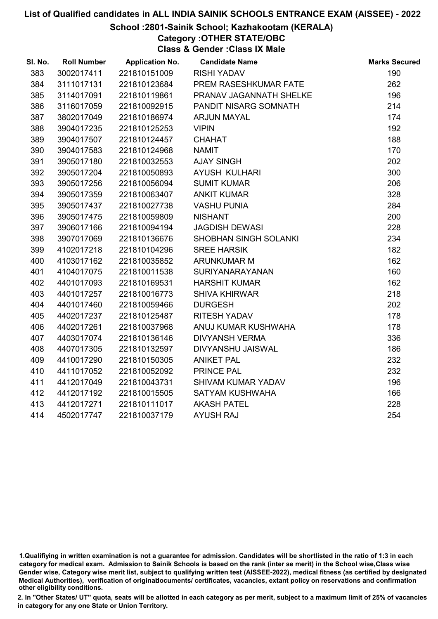#### School :2801-Sainik School; Kazhakootam (KERALA)

Category :OTHER STATE/OBC

Class & Gender :Class IX Male

| SI. No. | <b>Roll Number</b> | <b>Application No.</b> | <b>Candidate Name</b>   | <b>Marks Secured</b> |
|---------|--------------------|------------------------|-------------------------|----------------------|
| 383     | 3002017411         | 221810151009           | <b>RISHI YADAV</b>      | 190                  |
| 384     | 3111017131         | 221810123684           | PREM RASESHKUMAR FATE   | 262                  |
| 385     | 3114017091         | 221810119861           | PRANAV JAGANNATH SHELKE | 196                  |
| 386     | 3116017059         | 221810092915           | PANDIT NISARG SOMNATH   | 214                  |
| 387     | 3802017049         | 221810186974           | <b>ARJUN MAYAL</b>      | 174                  |
| 388     | 3904017235         | 221810125253           | <b>VIPIN</b>            | 192                  |
| 389     | 3904017507         | 221810124457           | <b>CHAHAT</b>           | 188                  |
| 390     | 3904017583         | 221810124968           | <b>NAMIT</b>            | 170                  |
| 391     | 3905017180         | 221810032553           | <b>AJAY SINGH</b>       | 202                  |
| 392     | 3905017204         | 221810050893           | AYUSH KULHARI           | 300                  |
| 393     | 3905017256         | 221810056094           | <b>SUMIT KUMAR</b>      | 206                  |
| 394     | 3905017359         | 221810063407           | <b>ANKIT KUMAR</b>      | 328                  |
| 395     | 3905017437         | 221810027738           | <b>VASHU PUNIA</b>      | 284                  |
| 396     | 3905017475         | 221810059809           | <b>NISHANT</b>          | 200                  |
| 397     | 3906017166         | 221810094194           | <b>JAGDISH DEWASI</b>   | 228                  |
| 398     | 3907017069         | 221810136676           | SHOBHAN SINGH SOLANKI   | 234                  |
| 399     | 4102017218         | 221810104296           | <b>SREE HARSIK</b>      | 182                  |
| 400     | 4103017162         | 221810035852           | <b>ARUNKUMAR M</b>      | 162                  |
| 401     | 4104017075         | 221810011538           | SURIYANARAYANAN         | 160                  |
| 402     | 4401017093         | 221810169531           | <b>HARSHIT KUMAR</b>    | 162                  |
| 403     | 4401017257         | 221810016773           | <b>SHIVA KHIRWAR</b>    | 218                  |
| 404     | 4401017460         | 221810059466           | <b>DURGESH</b>          | 202                  |
| 405     | 4402017237         | 221810125487           | <b>RITESH YADAV</b>     | 178                  |
| 406     | 4402017261         | 221810037968           | ANUJ KUMAR KUSHWAHA     | 178                  |
| 407     | 4403017074         | 221810136146           | <b>DIVYANSH VERMA</b>   | 336                  |
| 408     | 4407017305         | 221810132597           | DIVYANSHU JAISWAL       | 186                  |
| 409     | 4410017290         | 221810150305           | <b>ANIKET PAL</b>       | 232                  |
| 410     | 4411017052         | 221810052092           | <b>PRINCE PAL</b>       | 232                  |
| 411     | 4412017049         | 221810043731           | SHIVAM KUMAR YADAV      | 196                  |
| 412     | 4412017192         | 221810015505           | SATYAM KUSHWAHA         | 166                  |
| 413     | 4412017271         | 221810111017           | <b>AKASH PATEL</b>      | 228                  |
| 414     | 4502017747         | 221810037179           | <b>AYUSH RAJ</b>        | 254                  |
|         |                    |                        |                         |                      |

<sup>1.</sup>Qualifiying in written examination is not a guarantee for admission. Candidates will be shortlisted in the ratio of 1:3 in each category for medical exam. Admission to Sainik Schools is based on the rank (inter se merit) in the School wise,Class wise Gender wise, Category wise merit list, subject to qualifying written test (AISSEE-2022), medical fitness (as certified by designated Medical Authorities), verification of originablocuments/ certificates, vacancies, extant policy on reservations and confirmation other eligibility conditions.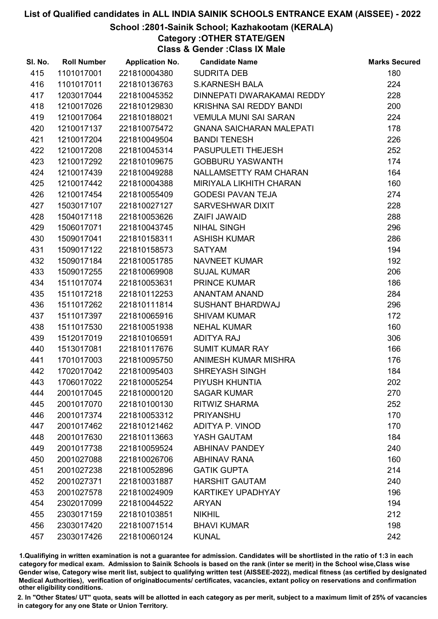### School :2801-Sainik School; Kazhakootam (KERALA)

Category :OTHER STATE/GEN

Class & Gender :Class IX Male

| SI. No. | <b>Roll Number</b> | <b>Application No.</b> | <b>Candidate Name</b>           | <b>Marks Secured</b> |
|---------|--------------------|------------------------|---------------------------------|----------------------|
| 415     | 1101017001         | 221810004380           | <b>SUDRITA DEB</b>              | 180                  |
| 416     | 1101017011         | 221810136763           | <b>S.KARNESH BALA</b>           | 224                  |
| 417     | 1203017044         | 221810045352           | DINNEPATI DWARAKAMAI REDDY      | 228                  |
| 418     | 1210017026         | 221810129830           | KRISHNA SAI REDDY BANDI         | 200                  |
| 419     | 1210017064         | 221810188021           | <b>VEMULA MUNI SAI SARAN</b>    | 224                  |
| 420     | 1210017137         | 221810075472           | <b>GNANA SAICHARAN MALEPATI</b> | 178                  |
| 421     | 1210017204         | 221810049504           | <b>BANDI TENESH</b>             | 226                  |
| 422     | 1210017208         | 221810045314           | PASUPULETI THEJESH              | 252                  |
| 423     | 1210017292         | 221810109675           | <b>GOBBURU YASWANTH</b>         | 174                  |
| 424     | 1210017439         | 221810049288           | NALLAMSETTY RAM CHARAN          | 164                  |
| 425     | 1210017442         | 221810004388           | MIRIYALA LIKHITH CHARAN         | 160                  |
| 426     | 1210017454         | 221810055409           | <b>GODESI PAVAN TEJA</b>        | 274                  |
| 427     | 1503017107         | 221810027127           | SARVESHWAR DIXIT                | 228                  |
| 428     | 1504017118         | 221810053626           | ZAIFI JAWAID                    | 288                  |
| 429     | 1506017071         | 221810043745           | <b>NIHAL SINGH</b>              | 296                  |
| 430     | 1509017041         | 221810158311           | <b>ASHISH KUMAR</b>             | 286                  |
| 431     | 1509017122         | 221810158573           | <b>SATYAM</b>                   | 194                  |
| 432     | 1509017184         | 221810051785           | <b>NAVNEET KUMAR</b>            | 192                  |
| 433     | 1509017255         | 221810069908           | <b>SUJAL KUMAR</b>              | 206                  |
| 434     | 1511017074         | 221810053631           | <b>PRINCE KUMAR</b>             | 186                  |
| 435     | 1511017218         | 221810112253           | ANANTAM ANAND                   | 284                  |
| 436     | 1511017262         | 221810111814           | <b>SUSHANT BHARDWAJ</b>         | 296                  |
| 437     | 1511017397         | 221810065916           | <b>SHIVAM KUMAR</b>             | 172                  |
| 438     | 1511017530         | 221810051938           | <b>NEHAL KUMAR</b>              | 160                  |
| 439     | 1512017019         | 221810106591           | ADITYA RAJ                      | 306                  |
| 440     | 1513017081         | 221810117676           | <b>SUMIT KUMAR RAY</b>          | 166                  |
| 441     | 1701017003         | 221810095750           | ANIMESH KUMAR MISHRA            | 176                  |
| 442     | 1702017042         | 221810095403           | <b>SHREYASH SINGH</b>           | 184                  |
| 443     | 1706017022         | 221810005254           | PIYUSH KHUNTIA                  | 202                  |
| 444     | 2001017045         | 221810000120           | <b>SAGAR KUMAR</b>              | 270                  |
| 445     | 2001017070         | 221810100130           | <b>RITWIZ SHARMA</b>            | 252                  |
| 446     | 2001017374         | 221810053312           | <b>PRIYANSHU</b>                | 170                  |
| 447     | 2001017462         | 221810121462           | ADITYA P. VINOD                 | 170                  |
| 448     | 2001017630         | 221810113663           | YASH GAUTAM                     | 184                  |
| 449     | 2001017738         | 221810059524           | <b>ABHINAV PANDEY</b>           | 240                  |
| 450     | 2001027088         | 221810026706           | <b>ABHINAV RANA</b>             | 160                  |
| 451     | 2001027238         | 221810052896           | <b>GATIK GUPTA</b>              | 214                  |
| 452     | 2001027371         | 221810031887           | <b>HARSHIT GAUTAM</b>           | 240                  |
| 453     | 2001027578         | 221810024909           | <b>KARTIKEY UPADHYAY</b>        | 196                  |
| 454     | 2302017099         | 221810044522           | <b>ARYAN</b>                    | 194                  |
| 455     | 2303017159         | 221810103851           | <b>NIKHIL</b>                   | 212                  |
| 456     | 2303017420         | 221810071514           | <b>BHAVI KUMAR</b>              | 198                  |
| 457     | 2303017426         | 221810060124           | <b>KUNAL</b>                    | 242                  |

1.Qualifiying in written examination is not a guarantee for admission. Candidates will be shortlisted in the ratio of 1:3 in each category for medical exam. Admission to Sainik Schools is based on the rank (inter se merit) in the School wise,Class wise Gender wise, Category wise merit list, subject to qualifying written test (AISSEE-2022), medical fitness (as certified by designated Medical Authorities), verification of originablocuments/ certificates, vacancies, extant policy on reservations and confirmation other eligibility conditions.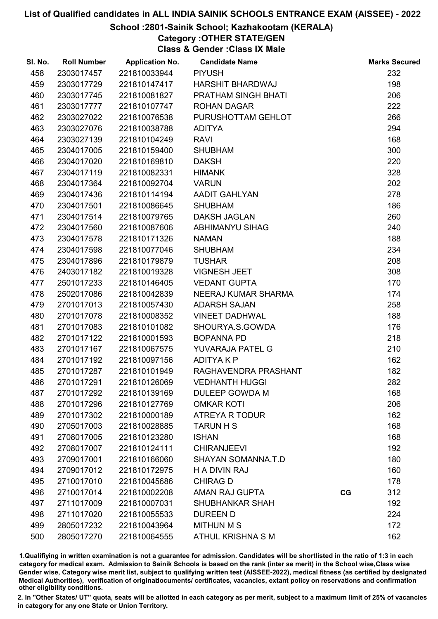#### School :2801-Sainik School; Kazhakootam (KERALA)

Category :OTHER STATE/GEN

Class & Gender :Class IX Male

| SI. No. | <b>Roll Number</b> | <b>Application No.</b> | <b>Candidate Name</b>     |    | <b>Marks Secured</b> |
|---------|--------------------|------------------------|---------------------------|----|----------------------|
| 458     | 2303017457         | 221810033944           | <b>PIYUSH</b>             |    | 232                  |
| 459     | 2303017729         | 221810147417           | <b>HARSHIT BHARDWAJ</b>   |    | 198                  |
| 460     | 2303017745         | 221810081827           | PRATHAM SINGH BHATI       |    | 206                  |
| 461     | 2303017777         | 221810107747           | <b>ROHAN DAGAR</b>        |    | 222                  |
| 462     | 2303027022         | 221810076538           | PURUSHOTTAM GEHLOT        |    | 266                  |
| 463     | 2303027076         | 221810038788           | <b>ADITYA</b>             |    | 294                  |
| 464     | 2303027139         | 221810104249           | <b>RAVI</b>               |    | 168                  |
| 465     | 2304017005         | 221810159400           | <b>SHUBHAM</b>            |    | 300                  |
| 466     | 2304017020         | 221810169810           | <b>DAKSH</b>              |    | 220                  |
| 467     | 2304017119         | 221810082331           | <b>HIMANK</b>             |    | 328                  |
| 468     | 2304017364         | 221810092704           | <b>VARUN</b>              |    | 202                  |
| 469     | 2304017436         | 221810114194           | <b>AADIT GAHLYAN</b>      |    | 278                  |
| 470     | 2304017501         | 221810086645           | <b>SHUBHAM</b>            |    | 186                  |
| 471     | 2304017514         | 221810079765           | <b>DAKSH JAGLAN</b>       |    | 260                  |
| 472     | 2304017560         | 221810087606           | <b>ABHIMANYU SIHAG</b>    |    | 240                  |
| 473     | 2304017578         | 221810171326           | <b>NAMAN</b>              |    | 188                  |
| 474     | 2304017598         | 221810077046           | <b>SHUBHAM</b>            |    | 234                  |
| 475     | 2304017896         | 221810179879           | <b>TUSHAR</b>             |    | 208                  |
| 476     | 2403017182         | 221810019328           | <b>VIGNESH JEET</b>       |    | 308                  |
| 477     | 2501017233         | 221810146405           | <b>VEDANT GUPTA</b>       |    | 170                  |
| 478     | 2502017086         | 221810042839           | NEERAJ KUMAR SHARMA       |    | 174                  |
| 479     | 2701017013         | 221810057430           | <b>ADARSH SAJAN</b>       |    | 258                  |
| 480     | 2701017078         | 221810008352           | <b>VINEET DADHWAL</b>     |    | 188                  |
| 481     | 2701017083         | 221810101082           | SHOURYA.S.GOWDA           |    | 176                  |
| 482     | 2701017122         | 221810001593           | <b>BOPANNA PD</b>         |    | 218                  |
| 483     | 2701017167         | 221810067575           | YUVARAJA PATEL G          |    | 210                  |
| 484     | 2701017192         | 221810097156           | <b>ADITYAKP</b>           |    | 162                  |
| 485     | 2701017287         | 221810101949           | RAGHAVENDRA PRASHANT      |    | 182                  |
| 486     | 2701017291         | 221810126069           | <b>VEDHANTH HUGGI</b>     |    | 282                  |
| 487     | 2701017292         | 221810139169           | <b>DULEEP GOWDA M</b>     |    | 168                  |
| 488     | 2701017296         | 221810127769           | <b>OMKAR KOTI</b>         |    | 206                  |
| 489     | 2701017302         | 221810000189           | <b>ATREYA R TODUR</b>     |    | 162                  |
| 490     | 2705017003         | 221810028885           | <b>TARUN H S</b>          |    | 168                  |
| 491     | 2708017005         | 221810123280           | <b>ISHAN</b>              |    | 168                  |
| 492     | 2708017007         | 221810124111           | <b>CHIRANJEEVI</b>        |    | 192                  |
| 493     | 2709017001         | 221810166060           | <b>SHAYAN SOMANNA.T.D</b> |    | 180                  |
| 494     | 2709017012         | 221810172975           | <b>H A DIVIN RAJ</b>      |    | 160                  |
| 495     | 2710017010         | 221810045686           | <b>CHIRAG D</b>           |    | 178                  |
| 496     | 2710017014         | 221810002208           | AMAN RAJ GUPTA            | CG | 312                  |
| 497     | 2711017009         | 221810007031           | <b>SHUBHANKAR SHAH</b>    |    | 192                  |
| 498     | 2711017020         | 221810055533           | <b>DUREEN D</b>           |    | 224                  |
| 499     | 2805017232         | 221810043964           | <b>MITHUN M S</b>         |    | 172                  |
| 500     | 2805017270         | 221810064555           | ATHUL KRISHNA S M         |    | 162                  |

1.Qualifiying in written examination is not a guarantee for admission. Candidates will be shortlisted in the ratio of 1:3 in each category for medical exam. Admission to Sainik Schools is based on the rank (inter se merit) in the School wise,Class wise Gender wise, Category wise merit list, subject to qualifying written test (AISSEE-2022), medical fitness (as certified by designated Medical Authorities), verification of originablocuments/ certificates, vacancies, extant policy on reservations and confirmation other eligibility conditions.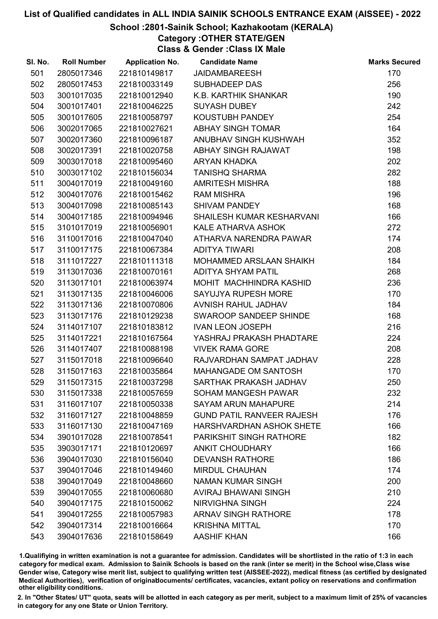### School :2801-Sainik School; Kazhakootam (KERALA)

Category :OTHER STATE/GEN

Class & Gender :Class IX Male

| SI. No. | <b>Roll Number</b> | <b>Application No.</b> | <b>Candidate Name</b>            | <b>Marks Secured</b> |
|---------|--------------------|------------------------|----------------------------------|----------------------|
| 501     | 2805017346         | 221810149817           | <b>JAIDAMBAREESH</b>             | 170                  |
| 502     | 2805017453         | 221810033149           | <b>SUBHADEEP DAS</b>             | 256                  |
| 503     | 3001017035         | 221810012940           | K.B. KARTHIK SHANKAR             | 190                  |
| 504     | 3001017401         | 221810046225           | <b>SUYASH DUBEY</b>              | 242                  |
| 505     | 3001017605         | 221810058797           | KOUSTUBH PANDEY                  | 254                  |
| 506     | 3002017065         | 221810027621           | ABHAY SINGH TOMAR                | 164                  |
| 507     | 3002017360         | 221810096187           | ANUBHAV SINGH KUSHWAH            | 352                  |
| 508     | 3002017391         | 221810020758           | ABHAY SINGH RAJAWAT              | 198                  |
| 509     | 3003017018         | 221810095460           | ARYAN KHADKA                     | 202                  |
| 510     | 3003017102         | 221810156034           | <b>TANISHQ SHARMA</b>            | 282                  |
| 511     | 3004017019         | 221810049160           | <b>AMRITESH MISHRA</b>           | 188                  |
| 512     | 3004017076         | 221810015462           | <b>RAM MISHRA</b>                | 196                  |
| 513     | 3004017098         | 221810085143           | <b>SHIVAM PANDEY</b>             | 168                  |
| 514     | 3004017185         | 221810094946           | <b>SHAILESH KUMAR KESHARVANI</b> | 166                  |
| 515     | 3101017019         | 221810056901           | KALE ATHARVA ASHOK               | 272                  |
| 516     | 3110017016         | 221810047040           | ATHARVA NARENDRA PAWAR           | 174                  |
| 517     | 3110017175         | 221810067384           | <b>ADITYA TIWARI</b>             | 208                  |
| 518     | 3111017227         | 221810111318           | MOHAMMED ARSLAAN SHAIKH          | 184                  |
| 519     | 3113017036         | 221810070161           | ADITYA SHYAM PATIL               | 268                  |
| 520     | 3113017101         | 221810063974           | MOHIT MACHHINDRA KASHID          | 236                  |
| 521     | 3113017135         | 221810046006           | SAYUJYA RUPESH MORE              | 170                  |
| 522     | 3113017136         | 221810070806           | AVNISH RAHUL JADHAV              | 184                  |
| 523     | 3113017176         | 221810129238           | SWAROOP SANDEEP SHINDE           | 168                  |
| 524     | 3114017107         | 221810183812           | <b>IVAN LEON JOSEPH</b>          | 216                  |
| 525     | 3114017221         | 221810167564           | YASHRAJ PRAKASH PHADTARE         | 224                  |
| 526     | 3114017407         | 221810088198           | <b>VIVEK RAMA GORE</b>           | 208                  |
| 527     | 3115017018         | 221810096640           | RAJVARDHAN SAMPAT JADHAV         | 228                  |
| 528     | 3115017163         | 221810035864           | MAHANGADE OM SANTOSH             | 170                  |
| 529     | 3115017315         | 221810037298           | SARTHAK PRAKASH JADHAV           | 250                  |
| 530     | 3115017338         | 221810057659           | <b>SOHAM MANGESH PAWAR</b>       | 232                  |
| 531     | 3116017107         | 221810050338           | <b>SAYAM ARUN MAHAPURE</b>       | 214                  |
| 532     | 3116017127         | 221810048859           | <b>GUND PATIL RANVEER RAJESH</b> | 176                  |
| 533     | 3116017130         | 221810047169           | <b>HARSHVARDHAN ASHOK SHETE</b>  | 166                  |
| 534     | 3901017028         | 221810078541           | <b>PARIKSHIT SINGH RATHORE</b>   | 182                  |
| 535     | 3903017171         | 221810120697           | <b>ANKIT CHOUDHARY</b>           | 166                  |
| 536     | 3904017030         | 221810156040           | <b>DEVANSH RATHORE</b>           | 186                  |
| 537     | 3904017046         | 221810149460           | <b>MIRDUL CHAUHAN</b>            | 174                  |
| 538     | 3904017049         | 221810048660           | <b>NAMAN KUMAR SINGH</b>         | 200                  |
| 539     | 3904017055         | 221810060680           | AVIRAJ BHAWANI SINGH             | 210                  |
| 540     | 3904017175         | 221810150062           | <b>NIRVIGHNA SINGH</b>           | 224                  |
| 541     | 3904017255         | 221810057983           | <b>ARNAV SINGH RATHORE</b>       | 178                  |
| 542     | 3904017314         | 221810016664           | <b>KRISHNA MITTAL</b>            | 170                  |
| 543     | 3904017636         | 221810158649           | <b>AASHIF KHAN</b>               | 166                  |

1.Qualifiying in written examination is not a guarantee for admission. Candidates will be shortlisted in the ratio of 1:3 in each category for medical exam. Admission to Sainik Schools is based on the rank (inter se merit) in the School wise,Class wise Gender wise, Category wise merit list, subject to qualifying written test (AISSEE-2022), medical fitness (as certified by designated Medical Authorities), verification of originablocuments/ certificates, vacancies, extant policy on reservations and confirmation other eligibility conditions.